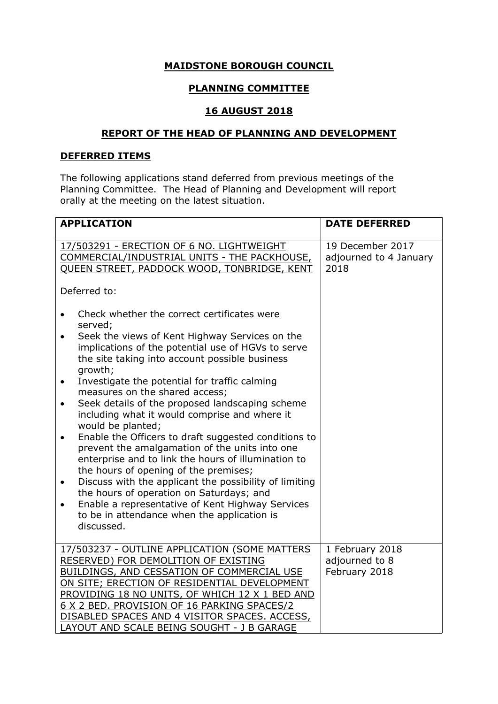# **MAIDSTONE BOROUGH COUNCIL**

# **PLANNING COMMITTEE**

### **16 AUGUST 2018**

### **REPORT OF THE HEAD OF PLANNING AND DEVELOPMENT**

# **DEFERRED ITEMS**

The following applications stand deferred from previous meetings of the Planning Committee. The Head of Planning and Development will report orally at the meeting on the latest situation.

| <b>APPLICATION</b>                                                                                                                                                                                                                                                                                                                                                                                                                                                                                                                                                                                                                                                                                                                                                                                                                                                                                                                                                  | <b>DATE DEFERRED</b>                               |
|---------------------------------------------------------------------------------------------------------------------------------------------------------------------------------------------------------------------------------------------------------------------------------------------------------------------------------------------------------------------------------------------------------------------------------------------------------------------------------------------------------------------------------------------------------------------------------------------------------------------------------------------------------------------------------------------------------------------------------------------------------------------------------------------------------------------------------------------------------------------------------------------------------------------------------------------------------------------|----------------------------------------------------|
| 17/503291 - ERECTION OF 6 NO. LIGHTWEIGHT<br>COMMERCIAL/INDUSTRIAL UNITS - THE PACKHOUSE,<br>QUEEN STREET, PADDOCK WOOD, TONBRIDGE, KENT<br>Deferred to:                                                                                                                                                                                                                                                                                                                                                                                                                                                                                                                                                                                                                                                                                                                                                                                                            | 19 December 2017<br>adjourned to 4 January<br>2018 |
| Check whether the correct certificates were<br>$\bullet$<br>served;<br>Seek the views of Kent Highway Services on the<br>$\bullet$<br>implications of the potential use of HGVs to serve<br>the site taking into account possible business<br>growth;<br>Investigate the potential for traffic calming<br>$\bullet$<br>measures on the shared access;<br>Seek details of the proposed landscaping scheme<br>$\bullet$<br>including what it would comprise and where it<br>would be planted;<br>Enable the Officers to draft suggested conditions to<br>$\bullet$<br>prevent the amalgamation of the units into one<br>enterprise and to link the hours of illumination to<br>the hours of opening of the premises;<br>Discuss with the applicant the possibility of limiting<br>$\bullet$<br>the hours of operation on Saturdays; and<br>Enable a representative of Kent Highway Services<br>$\bullet$<br>to be in attendance when the application is<br>discussed. |                                                    |
| 17/503237 - OUTLINE APPLICATION (SOME MATTERS<br>RESERVED) FOR DEMOLITION OF EXISTING<br>BUILDINGS, AND CESSATION OF COMMERCIAL USE<br>ON SITE; ERECTION OF RESIDENTIAL DEVELOPMENT<br>PROVIDING 18 NO UNITS, OF WHICH 12 X 1 BED AND<br>6 X 2 BED. PROVISION OF 16 PARKING SPACES/2<br>DISABLED SPACES AND 4 VISITOR SPACES. ACCESS,<br>LAYOUT AND SCALE BEING SOUGHT - J B GARAGE                                                                                                                                                                                                                                                                                                                                                                                                                                                                                                                                                                                 | 1 February 2018<br>adjourned to 8<br>February 2018 |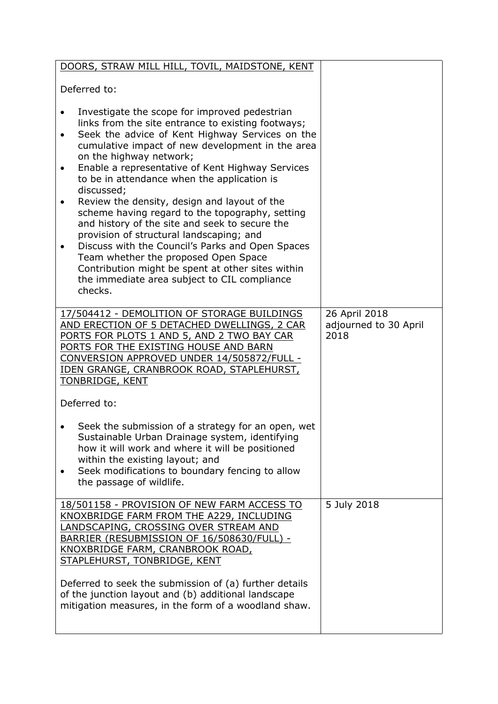| DOORS, STRAW MILL HILL, TOVIL, MAIDSTONE, KENT                                                                                                                                                                                                                                                                                                                                                                                                                                                                                                                                                                                                                                                                                                                                                                                       |                                                |
|--------------------------------------------------------------------------------------------------------------------------------------------------------------------------------------------------------------------------------------------------------------------------------------------------------------------------------------------------------------------------------------------------------------------------------------------------------------------------------------------------------------------------------------------------------------------------------------------------------------------------------------------------------------------------------------------------------------------------------------------------------------------------------------------------------------------------------------|------------------------------------------------|
| Deferred to:                                                                                                                                                                                                                                                                                                                                                                                                                                                                                                                                                                                                                                                                                                                                                                                                                         |                                                |
| Investigate the scope for improved pedestrian<br>$\bullet$<br>links from the site entrance to existing footways;<br>Seek the advice of Kent Highway Services on the<br>$\bullet$<br>cumulative impact of new development in the area<br>on the highway network;<br>Enable a representative of Kent Highway Services<br>$\bullet$<br>to be in attendance when the application is<br>discussed;<br>Review the density, design and layout of the<br>$\bullet$<br>scheme having regard to the topography, setting<br>and history of the site and seek to secure the<br>provision of structural landscaping; and<br>Discuss with the Council's Parks and Open Spaces<br>$\bullet$<br>Team whether the proposed Open Space<br>Contribution might be spent at other sites within<br>the immediate area subject to CIL compliance<br>checks. |                                                |
| 17/504412 - DEMOLITION OF STORAGE BUILDINGS<br>AND ERECTION OF 5 DETACHED DWELLINGS, 2 CAR<br>PORTS FOR PLOTS 1 AND 5, AND 2 TWO BAY CAR<br>PORTS FOR THE EXISTING HOUSE AND BARN<br>CONVERSION APPROVED UNDER 14/505872/FULL -<br>IDEN GRANGE, CRANBROOK ROAD, STAPLEHURST,<br><b>TONBRIDGE, KENT</b>                                                                                                                                                                                                                                                                                                                                                                                                                                                                                                                               | 26 April 2018<br>adjourned to 30 April<br>2018 |
| Deferred to:                                                                                                                                                                                                                                                                                                                                                                                                                                                                                                                                                                                                                                                                                                                                                                                                                         |                                                |
| Seek the submission of a strategy for an open, wet<br>Sustainable Urban Drainage system, identifying<br>how it will work and where it will be positioned<br>within the existing layout; and<br>Seek modifications to boundary fencing to allow<br>$\bullet$<br>the passage of wildlife.                                                                                                                                                                                                                                                                                                                                                                                                                                                                                                                                              |                                                |
| 18/501158 - PROVISION OF NEW FARM ACCESS TO<br>KNOXBRIDGE FARM FROM THE A229, INCLUDING<br>LANDSCAPING, CROSSING OVER STREAM AND<br>BARRIER (RESUBMISSION OF 16/508630/FULL) -<br>KNOXBRIDGE FARM, CRANBROOK ROAD,<br>STAPLEHURST, TONBRIDGE, KENT                                                                                                                                                                                                                                                                                                                                                                                                                                                                                                                                                                                   | 5 July 2018                                    |
| Deferred to seek the submission of (a) further details<br>of the junction layout and (b) additional landscape<br>mitigation measures, in the form of a woodland shaw.                                                                                                                                                                                                                                                                                                                                                                                                                                                                                                                                                                                                                                                                |                                                |